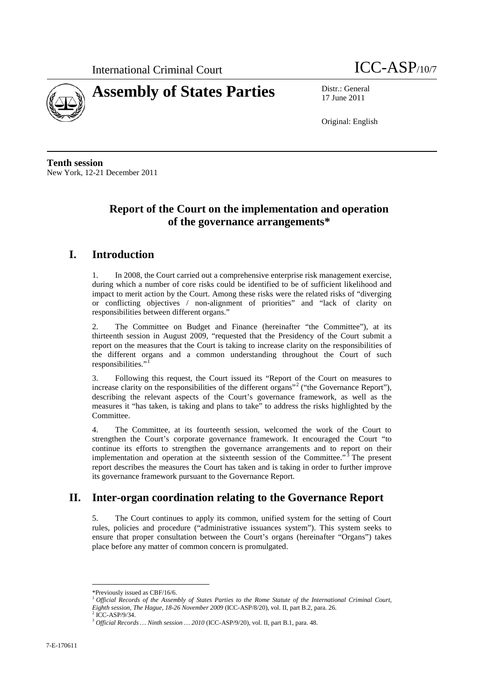



17 June 2011

Original: English

**Tenth session** New York, 12-21 December 2011

# **Report of the Court on the implementation and operation of the governance arrangements\***

## **I. Introduction**

1. In 2008, the Court carried out a comprehensive enterprise risk management exercise, during which a number of core risks could be identified to be of sufficient likelihood and impact to merit action by the Court. Among these risks were the related risks of "diverging or conflicting objectives / non-alignment of priorities" and "lack of clarity on responsibilities between different organs."

2. The Committee on Budget and Finance (hereinafter "the Committee"), at its thirteenth session in August 2009, "requested that the Presidency of the Court submit a report on the measures that the Court is taking to increase clarity on the responsibilities of the different organs and a common understanding throughout the Court of such responsibilities."

3. Following this request, the Court issued its "Report of the Court on measures to increase clarity on the responsibilities of the different organs"<sup>[2](#page-0-1)</sup> ("the Governance Report"), describing the relevant aspects of the Court's governance framework, as well as the measures it "has taken, is taking and plans to take" to address the risks highlighted by the Committee.

4. The Committee, at its fourteenth session, welcomed the work of the Court to strengthen the Court's corporate governance framework. It encouraged the Court "to continue its efforts to strengthen the governance arrangements and to report on their implementation and operation at the sixteenth session of the Committee."<sup>[3](#page-0-2)</sup> The present report describes the measures the Court has taken and is taking in order to further improve its governance framework pursuant to the Governance Report.

### **II. Inter-organ coordination relating to the Governance Report**

5. The Court continues to apply its common, unified system for the setting of Court rules, policies and procedure ("administrative issuances system"). This system seeks to ensure that proper consultation between the Court's organs (hereinafter "Organs") takes place before any matter of common concern is promulgated.

 <sup>\*</sup>Previously issued as CBF/16/6.

<span id="page-0-1"></span><span id="page-0-0"></span><sup>&</sup>lt;sup>1</sup> Official Records of the Assembly of States Parties to the Rome Statute of the International Criminal Court, *Eighth session, The Hague, 18-26 November 2009* (ICC-ASP/8/20), vol. II, part B.2, para. 26.

<span id="page-0-2"></span><sup>2</sup> ICC-ASP/9/34. <sup>3</sup> *Official Records … Ninth session … <sup>2010</sup>*(ICC-ASP/9/20), vol. II, part B.1, para. 48.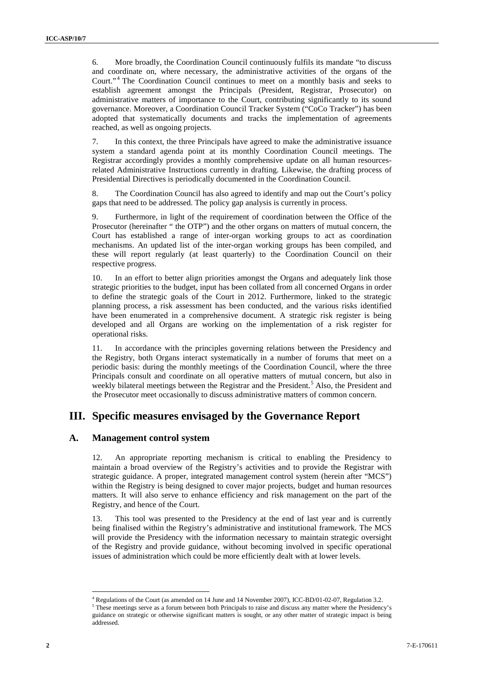6. More broadly, the Coordination Council continuously fulfils its mandate "to discuss and coordinate on, where necessary, the administrative activities of the organs of the Court."<sup>[4](#page-1-0)</sup> The Coordination Council continues to meet on a monthly basis and seeks to establish agreement amongst the Principals (President, Registrar, Prosecutor) on administrative matters of importance to the Court, contributing significantly to its sound governance. Moreover, a Coordination Council Tracker System ("CoCo Tracker") has been adopted that systematically documents and tracks the implementation of agreements reached, as well as ongoing projects.

7. In this context, the three Principals have agreed to make the administrative issuance system a standard agenda point at its monthly Coordination Council meetings. The Registrar accordingly provides a monthly comprehensive update on all human resourcesrelated Administrative Instructions currently in drafting. Likewise, the drafting process of Presidential Directives is periodically documented in the Coordination Council.

8. The Coordination Council has also agreed to identify and map out the Court's policy gaps that need to be addressed. The policy gap analysis is currently in process.

9. Furthermore, in light of the requirement of coordination between the Office of the Prosecutor (hereinafter " the OTP") and the other organs on matters of mutual concern, the Court has established a range of inter-organ working groups to act as coordination mechanisms. An updated list of the inter-organ working groups has been compiled, and these will report regularly (at least quarterly) to the Coordination Council on their respective progress.

10. In an effort to better align priorities amongst the Organs and adequately link those strategic priorities to the budget, input has been collated from all concerned Organs in order to define the strategic goals of the Court in 2012. Furthermore, linked to the strategic planning process, a risk assessment has been conducted, and the various risks identified have been enumerated in a comprehensive document. A strategic risk register is being developed and all Organs are working on the implementation of a risk register for operational risks.

11. In accordance with the principles governing relations between the Presidency and the Registry, both Organs interact systematically in a number of forums that meet on a periodic basis: during the monthly meetings of the Coordination Council, where the three Principals consult and coordinate on all operative matters of mutual concern, but also in weekly bilateral meetings between the Registrar and the President.<sup>[5](#page-1-1)</sup> Also, the President and the Prosecutor meet occasionally to discuss administrative matters of common concern.

### **III. Specific measures envisaged by the Governance Report**

#### **A. Management control system**

12. An appropriate reporting mechanism is critical to enabling the Presidency to maintain a broad overview of the Registry's activities and to provide the Registrar with strategic guidance. A proper, integrated management control system (herein after "MCS") within the Registry is being designed to cover major projects, budget and human resources matters. It will also serve to enhance efficiency and risk management on the part of the Registry, and hence of the Court.

13. This tool was presented to the Presidency at the end of last year and is currently being finalised within the Registry's administrative and institutional framework. The MCS will provide the Presidency with the information necessary to maintain strategic oversight of the Registry and provide guidance, without becoming involved in specific operational issues of administration which could be more efficiently dealt with at lower levels.

 <sup>4</sup> Regulations of the Court (as amended on 14 June and 14 November 2007), ICC-BD/01-02-07, Regulation 3.2.

<span id="page-1-1"></span><span id="page-1-0"></span><sup>&</sup>lt;sup>5</sup> These meetings serve as a forum between both Principals to raise and discuss any matter where the Presidency's guidance on strategic or otherwise significant matters is sought, or any other matter of strategic impact is being addressed.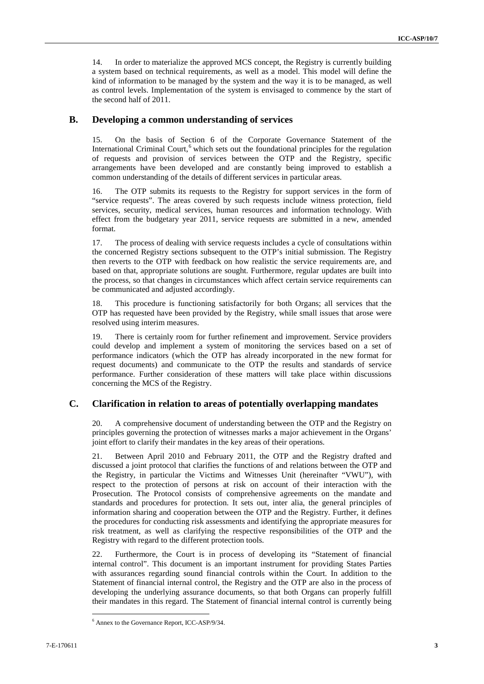14. In order to materialize the approved MCS concept, the Registry is currently building a system based on technical requirements, as well as a model. This model will define the kind of information to be managed by the system and the way it is to be managed, as well as control levels. Implementation of the system is envisaged to commence by the start of the second half of 2011.

#### **B. Developing a common understanding of services**

15. On the basis of Section 6 of the Corporate Governance Statement of the International Criminal Court,<sup>[6](#page-2-0)</sup> which sets out the foundational principles for the regulation of requests and provision of services between the OTP and the Registry, specific arrangements have been developed and are constantly being improved to establish a common understanding of the details of different services in particular areas.

16. The OTP submits its requests to the Registry for support services in the form of "service requests". The areas covered by such requests include witness protection, field services, security, medical services, human resources and information technology. With effect from the budgetary year 2011, service requests are submitted in a new, amended format.

17. The process of dealing with service requests includes a cycle of consultations within the concerned Registry sections subsequent to the OTP's initial submission. The Registry then reverts to the OTP with feedback on how realistic the service requirements are, and based on that, appropriate solutions are sought. Furthermore, regular updates are built into the process, so that changes in circumstances which affect certain service requirements can be communicated and adjusted accordingly.

18. This procedure is functioning satisfactorily for both Organs; all services that the OTP has requested have been provided by the Registry, while small issues that arose were resolved using interim measures.

19. There is certainly room for further refinement and improvement. Service providers could develop and implement a system of monitoring the services based on a set of performance indicators (which the OTP has already incorporated in the new format for request documents) and communicate to the OTP the results and standards of service performance. Further consideration of these matters will take place within discussions concerning the MCS of the Registry.

#### **C. Clarification in relation to areas of potentially overlapping mandates**

20. A comprehensive document of understanding between the OTP and the Registry on principles governing the protection of witnesses marks a major achievement in the Organs' joint effort to clarify their mandates in the key areas of their operations.

21. Between April 2010 and February 2011, the OTP and the Registry drafted and discussed a joint protocol that clarifies the functions of and relations between the OTP and the Registry, in particular the Victims and Witnesses Unit (hereinafter "VWU"), with respect to the protection of persons at risk on account of their interaction with the Prosecution. The Protocol consists of comprehensive agreements on the mandate and standards and procedures for protection. It sets out, inter alia, the general principles of information sharing and cooperation between the OTP and the Registry. Further, it defines the procedures for conducting risk assessments and identifying the appropriate measures for risk treatment, as well as clarifying the respective responsibilities of the OTP and the Registry with regard to the different protection tools.

22. Furthermore, the Court is in process of developing its "Statement of financial internal control". This document is an important instrument for providing States Parties with assurances regarding sound financial controls within the Court. In addition to the Statement of financial internal control, the Registry and the OTP are also in the process of developing the underlying assurance documents, so that both Organs can properly fulfill their mandates in this regard. The Statement of financial internal control is currently being

<span id="page-2-0"></span> <sup>6</sup> Annex to the Governance Report, ICC-ASP/9/34.